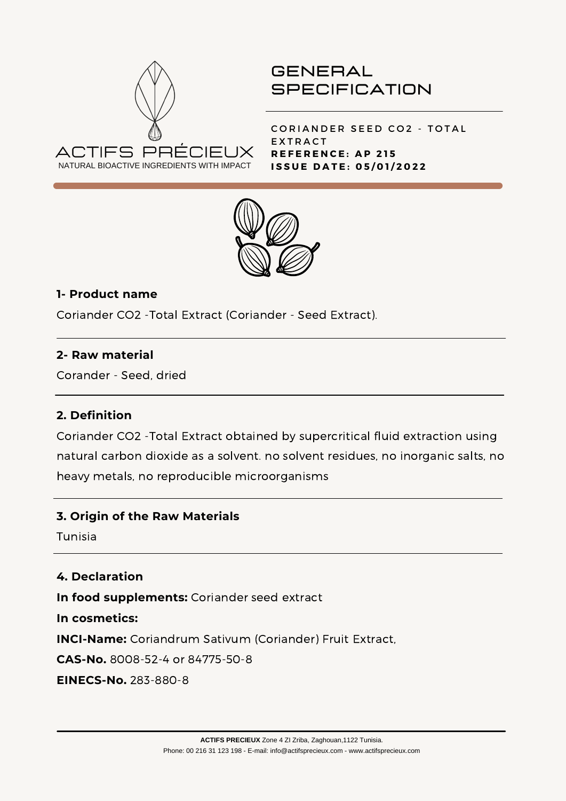

CORIANDER SEED CO2 - TOTAL **EXTRACT R E F E R E N C E : A P 2 1 5 I S S U E D A T E : 0 5 / 0 1 / 2 0 2 2**



## **1- Product name**

Coriander CO2 -Total Extract (Coriander - Seed Extract).

### **2- Raw material**

Corander - Seed, dried

### **2. Definition**

Coriander CO2 -Total Extract obtained by supercritical fluid extraction using natural carbon dioxide as a solvent. no solvent residues, no inorganic salts, no heavy metals, no reproducible microorganisms

### **3. Origin of the Raw Materials**

Tunisia

### **4. Declaration**

**In food supplements:** Coriander seed extract

**In cosmetics:**

**INCI-Name:** Coriandrum Sativum (Coriander) Fruit Extract,

**CAS-No.** 8008-52-4 or 84775-50-8

**EINECS-No.** 283-880-8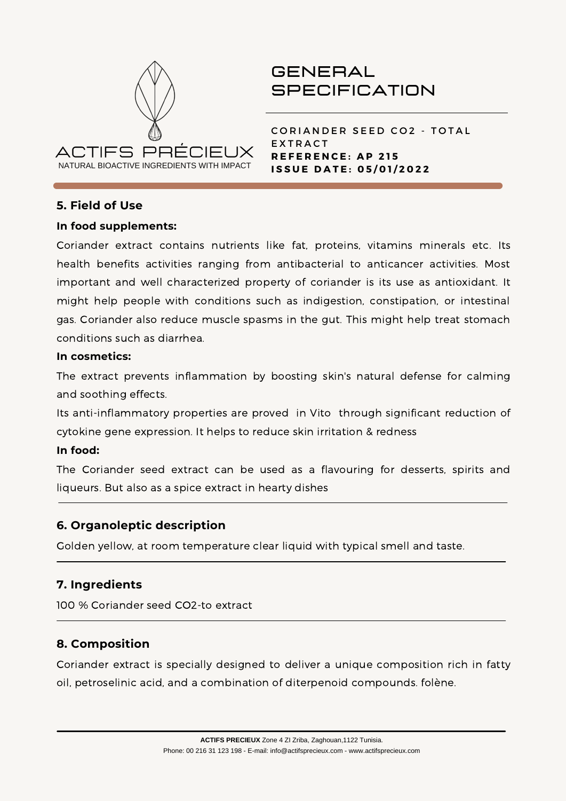

CORIANDER SEED CO2 - TOTAL **EXTRACT R E F E R E N C E : A P 2 1 5 I S S U E D A T E : 0 5 / 0 1 / 2 0 2 2**

#### **5. Field of Use**

#### **In food supplements:**

Coriander extract contains nutrients like fat, proteins, vitamins minerals etc. Its health benefits activities ranging from antibacterial to anticancer activities. Most important and well characterized property of coriander is its use as antioxidant. It might help people with conditions such as [indigestion,](https://www.medicinenet.com/dyspepsia/article.htm) [c](https://www.medicinenet.com/gas/symptoms.htm)[onstipation](https://www.medicinenet.com/constipation_myths_facts_pictures_slideshow/article.htm)[,](https://www.medicinenet.com/gas/symptoms.htm) or intestinal gas. Coriander also reduce muscle [spasms](https://www.medicinenet.com/muscle_spasms/article.htm) in the gut. This might help treat stomach conditions such as [diarrhea](https://www.medicinenet.com/diarrhea_digestive_problem_food_pictures_slideshow/article.htm).

#### **In cosmetics:**

The extract prevents inflammation by boosting skin's natural defense for calming and soothing effects.

Its anti-inflammatory properties are proved in Vito through significant reduction of cytokine gene expression. It helps to reduce skin irritation & redness

#### **In food:**

The Coriander seed extract can be used as a flavouring for desserts, spirits and liqueurs. But also as a spice extract in hearty dishes

### **6. Organoleptic description**

Golden yellow, at room temperature clear liquid with typical smell and taste.

### **7. Ingredients**

100 % Coriander seed CO2-to extract

### **8. Composition**

Coriander extract is specially designed to deliver a unique composition rich in fatty oil, petroselinic acid, and a combination of diterpenoid compounds. folène.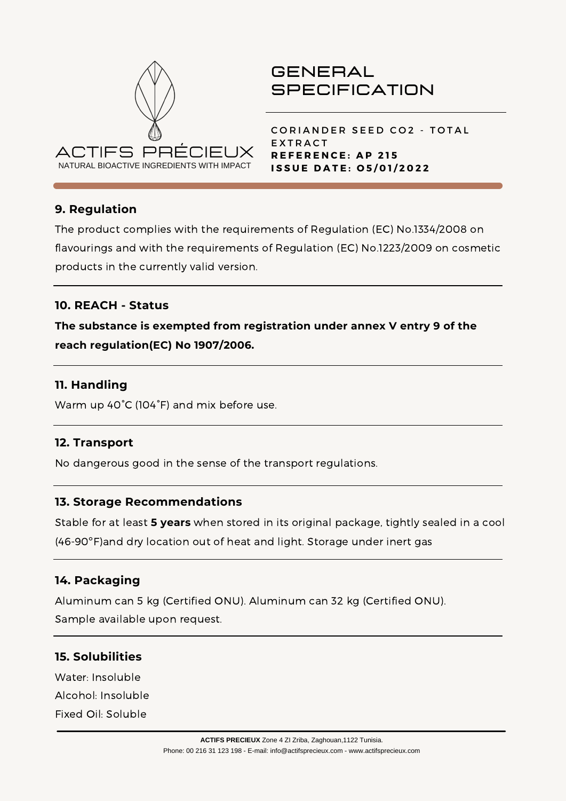

CORIANDER SEED CO2 - TOTAL **EXTRACT R E F E R E N C E : A P 2 1 5 I S S U E D A T E : O 5 / 0 1 / 2 0 2 2**

## **9. Regulation**

The product complies with the requirements of Regulation (EC) No.1334/2008 on flavourings and with the requirements of Regulation (EC) No.1223/2009 on cosmetic products in the currently valid version.

### **10. REACH - Status**

**The substance is exempted from registration under annex V entry 9 of the reach regulation(EC) No 1907/2006.**

#### **11. Handling**

Warm up 40°C (104°F) and mix before use.

#### **12. Transport**

No dangerous good in the sense of the transport regulations.

#### **13. Storage Recommendations**

Stable for at least **5 years** when stored in its original package, tightly sealed in a cool (46-90ºF)and dry location out of heat and light. Storage under inert gas

#### **14. Packaging**

Aluminum can 5 kg (Certified ONU). Aluminum can 32 kg (Certified ONU). Sample available upon request.

### **15. Solubilities**

Water: Insoluble Alcohol: Insoluble Fixed Oil: Soluble